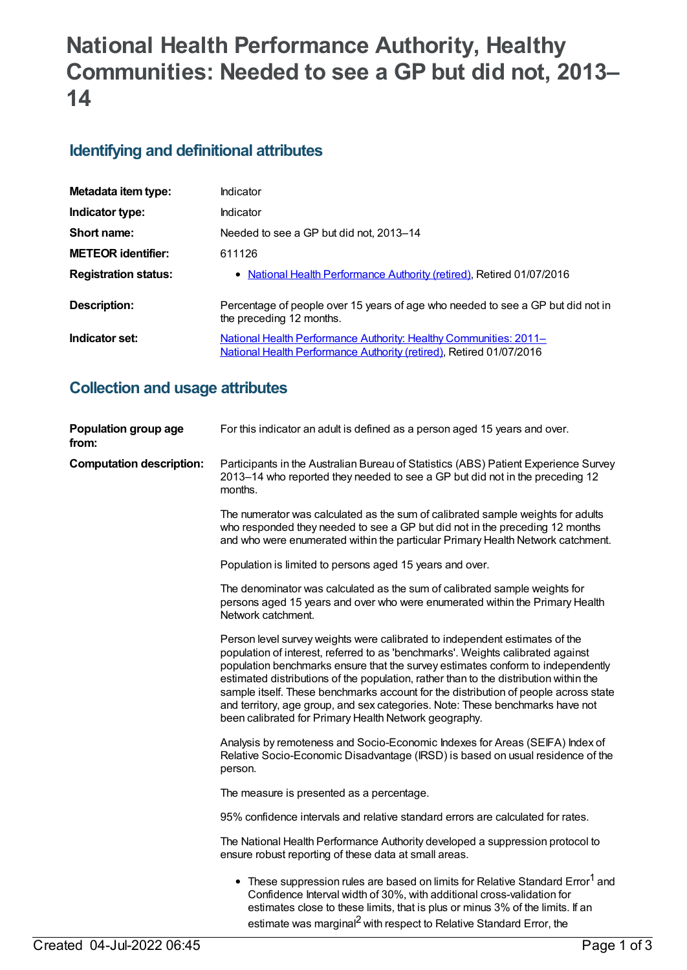# **National Health Performance Authority, Healthy Communities: Needed to see a GP but did not, 2013– 14**

# **Identifying and definitional attributes**

| Metadata item type:         | Indicator                                                                                                                                |
|-----------------------------|------------------------------------------------------------------------------------------------------------------------------------------|
| Indicator type:             | Indicator                                                                                                                                |
| Short name:                 | Needed to see a GP but did not, 2013–14                                                                                                  |
| <b>METEOR identifier:</b>   | 611126                                                                                                                                   |
| <b>Registration status:</b> | • National Health Performance Authority (retired), Retired 01/07/2016                                                                    |
| Description:                | Percentage of people over 15 years of age who needed to see a GP but did not in<br>the preceding 12 months.                              |
| Indicator set:              | National Health Performance Authority: Healthy Communities: 2011-<br>National Health Performance Authority (retired), Retired 01/07/2016 |

# **Collection and usage attributes**

| Population group age<br>from:   | For this indicator an adult is defined as a person aged 15 years and over.                                                                                                                                                                                                                                                                                                                                                                                                                                                                                                  |
|---------------------------------|-----------------------------------------------------------------------------------------------------------------------------------------------------------------------------------------------------------------------------------------------------------------------------------------------------------------------------------------------------------------------------------------------------------------------------------------------------------------------------------------------------------------------------------------------------------------------------|
| <b>Computation description:</b> | Participants in the Australian Bureau of Statistics (ABS) Patient Experience Survey<br>2013-14 who reported they needed to see a GP but did not in the preceding 12<br>months.                                                                                                                                                                                                                                                                                                                                                                                              |
|                                 | The numerator was calculated as the sum of calibrated sample weights for adults<br>who responded they needed to see a GP but did not in the preceding 12 months<br>and who were enumerated within the particular Primary Health Network catchment.                                                                                                                                                                                                                                                                                                                          |
|                                 | Population is limited to persons aged 15 years and over.                                                                                                                                                                                                                                                                                                                                                                                                                                                                                                                    |
|                                 | The denominator was calculated as the sum of calibrated sample weights for<br>persons aged 15 years and over who were enumerated within the Primary Health<br>Network catchment.                                                                                                                                                                                                                                                                                                                                                                                            |
|                                 | Person level survey weights were calibrated to independent estimates of the<br>population of interest, referred to as 'benchmarks'. Weights calibrated against<br>population benchmarks ensure that the survey estimates conform to independently<br>estimated distributions of the population, rather than to the distribution within the<br>sample itself. These benchmarks account for the distribution of people across state<br>and territory, age group, and sex categories. Note: These benchmarks have not<br>been calibrated for Primary Health Network geography. |
|                                 | Analysis by remoteness and Socio-Economic Indexes for Areas (SEIFA) Index of<br>Relative Socio-Economic Disadvantage (IRSD) is based on usual residence of the<br>person.                                                                                                                                                                                                                                                                                                                                                                                                   |
|                                 | The measure is presented as a percentage.                                                                                                                                                                                                                                                                                                                                                                                                                                                                                                                                   |
|                                 | 95% confidence intervals and relative standard errors are calculated for rates.                                                                                                                                                                                                                                                                                                                                                                                                                                                                                             |
|                                 | The National Health Performance Authority developed a suppression protocol to<br>ensure robust reporting of these data at small areas.                                                                                                                                                                                                                                                                                                                                                                                                                                      |
|                                 | • These suppression rules are based on limits for Relative Standard Error <sup>1</sup> and<br>Confidence Interval width of 30%, with additional cross-validation for<br>estimates close to these limits, that is plus or minus 3% of the limits. If an<br>estimate was marginal <sup>2</sup> with respect to Relative Standard Error, the                                                                                                                                                                                                                                   |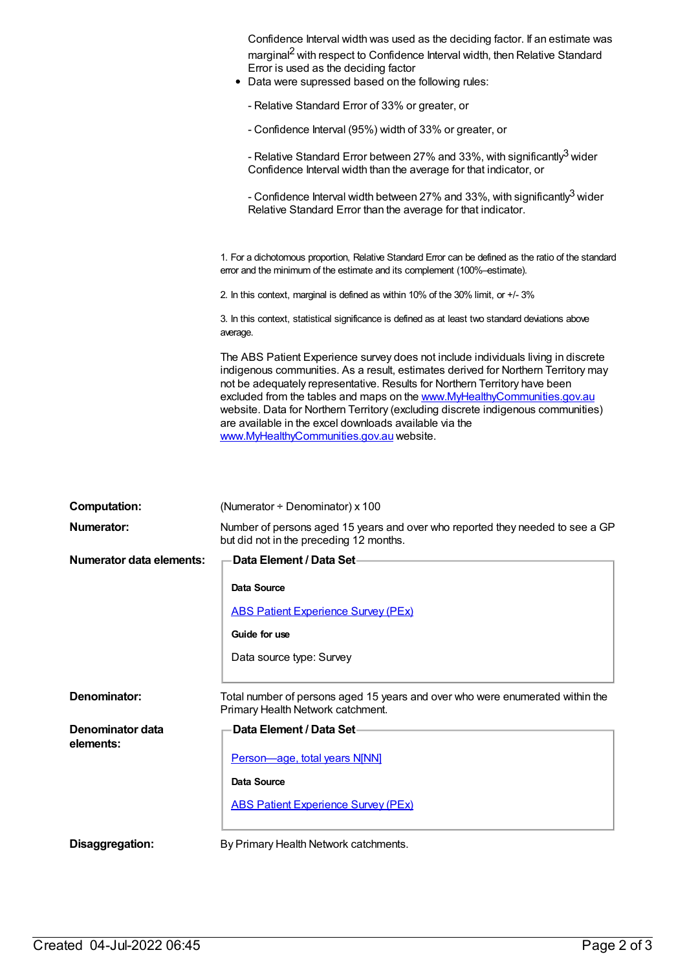| Confidence Interval width was used as the deciding factor. If an estimate was<br>marginal <sup>2</sup> with respect to Confidence Interval width, then Relative Standard<br>Error is used as the deciding factor<br>Data were supressed based on the following rules:<br>٠                                                                                                                                                                                                                                                 |
|----------------------------------------------------------------------------------------------------------------------------------------------------------------------------------------------------------------------------------------------------------------------------------------------------------------------------------------------------------------------------------------------------------------------------------------------------------------------------------------------------------------------------|
| - Relative Standard Error of 33% or greater, or                                                                                                                                                                                                                                                                                                                                                                                                                                                                            |
| - Confidence Interval (95%) width of 33% or greater, or                                                                                                                                                                                                                                                                                                                                                                                                                                                                    |
| - Relative Standard Error between 27% and 33%, with significantly <sup>3</sup> wider<br>Confidence Interval width than the average for that indicator, or                                                                                                                                                                                                                                                                                                                                                                  |
| - Confidence Interval width between 27% and 33%, with significantly <sup>3</sup> wider<br>Relative Standard Error than the average for that indicator.                                                                                                                                                                                                                                                                                                                                                                     |
| 1. For a dichotomous proportion, Relative Standard Error can be defined as the ratio of the standard<br>error and the minimum of the estimate and its complement (100%-estimate).                                                                                                                                                                                                                                                                                                                                          |
| 2. In this context, marginal is defined as within 10% of the 30% limit, or +/- 3%                                                                                                                                                                                                                                                                                                                                                                                                                                          |
| 3. In this context, statistical significance is defined as at least two standard deviations above<br>average.                                                                                                                                                                                                                                                                                                                                                                                                              |
| The ABS Patient Experience survey does not include individuals living in discrete<br>indigenous communities. As a result, estimates derived for Northern Territory may<br>not be adequately representative. Results for Northern Territory have been<br>excluded from the tables and maps on the www.MyHealthyCommunities.gov.au<br>website. Data for Northern Territory (excluding discrete indigenous communities)<br>are available in the excel downloads available via the<br>www.MyHealthyCommunities.gov.au website. |

| <b>Computation:</b>           | (Numerator + Denominator) x 100                                                                                          |
|-------------------------------|--------------------------------------------------------------------------------------------------------------------------|
| Numerator:                    | Number of persons aged 15 years and over who reported they needed to see a GP<br>but did not in the preceding 12 months. |
| Numerator data elements:      | Data Element / Data Set-                                                                                                 |
|                               | Data Source                                                                                                              |
|                               | <b>ABS Patient Experience Survey (PEx)</b>                                                                               |
|                               | Guide for use                                                                                                            |
|                               | Data source type: Survey                                                                                                 |
| Denominator:                  | Total number of persons aged 15 years and over who were enumerated within the<br>Primary Health Network catchment.       |
| Denominator data<br>elements: | Data Element / Data Set-                                                                                                 |
|                               | Person-age, total years N[NN]                                                                                            |
|                               | Data Source                                                                                                              |
|                               | <b>ABS Patient Experience Survey (PEx)</b>                                                                               |
| Disaggregation:               | By Primary Health Network catchments.                                                                                    |